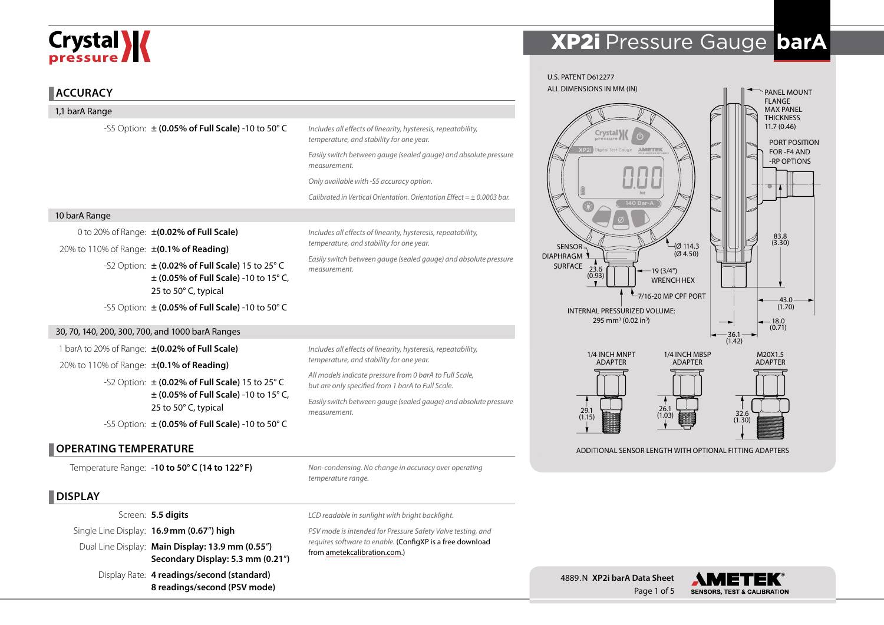# Crystal **X**

#### **ACCURACY**

| 1,1 barA Range                           |                                                                                                                                                                          |                                                                                                              |  |  |  |
|------------------------------------------|--------------------------------------------------------------------------------------------------------------------------------------------------------------------------|--------------------------------------------------------------------------------------------------------------|--|--|--|
|                                          | -S5 Option: $\pm$ (0.05% of Full Scale) -10 to 50° C                                                                                                                     | Includes all effects of linearity, hysteresis, repeatability,<br>temperature, and stability for one year.    |  |  |  |
|                                          |                                                                                                                                                                          | Easily switch between gauge (sealed gauge) and absolute pressure<br>measurement.                             |  |  |  |
|                                          |                                                                                                                                                                          | Only available with -S5 accuracy option.                                                                     |  |  |  |
|                                          |                                                                                                                                                                          | Calibrated in Vertical Orientation. Orientation Effect = $\pm$ 0.0003 bar.                                   |  |  |  |
| 10 barA Range                            |                                                                                                                                                                          |                                                                                                              |  |  |  |
|                                          | 0 to 20% of Range: ±(0.02% of Full Scale)                                                                                                                                | Includes all effects of linearity, hysteresis, repeatability,                                                |  |  |  |
| 20% to 110% of Range: ±(0.1% of Reading) |                                                                                                                                                                          | temperature, and stability for one year.                                                                     |  |  |  |
|                                          | -S2 Option: ± (0.02% of Full Scale) 15 to 25° C<br>$\pm$ (0.05% of Full Scale) -10 to 15° C,<br>25 to 50° C, typical                                                     | Easily switch between gauge (sealed gauge) and absolute pressure<br>measurement.                             |  |  |  |
|                                          | -S5 Option: $\pm$ (0.05% of Full Scale) -10 to 50° C                                                                                                                     |                                                                                                              |  |  |  |
|                                          | 30, 70, 140, 200, 300, 700, and 1000 barA Ranges                                                                                                                         |                                                                                                              |  |  |  |
|                                          | 1 barA to 20% of Range: ±(0.02% of Full Scale)                                                                                                                           | Includes all effects of linearity, hysteresis, repeatability,                                                |  |  |  |
| 20% to 110% of Range: ±(0.1% of Reading) |                                                                                                                                                                          | temperature, and stability for one year.                                                                     |  |  |  |
|                                          | -S2 Option: $\pm$ (0.02% of Full Scale) 15 to 25° C                                                                                                                      | All models indicate pressure from 0 barA to Full Scale,<br>but are only specified from 1 barA to Full Scale. |  |  |  |
|                                          | $\pm$ (0.05% of Full Scale) -10 to 15° C,<br>25 to 50° C, typical                                                                                                        | Easily switch between gauge (sealed gauge) and absolute pressure<br>measurement.                             |  |  |  |
|                                          | -S5 Option: $\pm$ (0.05% of Full Scale) -10 to 50° C                                                                                                                     |                                                                                                              |  |  |  |
| <b>OPERATING TEMPERATURE</b>             |                                                                                                                                                                          |                                                                                                              |  |  |  |
|                                          | Temperature Range: - 10 to 50° C (14 to 122° F)                                                                                                                          | Non-condensing. No change in accuracy over operating<br>temperature range.                                   |  |  |  |
| <b>DISPLAY</b>                           |                                                                                                                                                                          |                                                                                                              |  |  |  |
|                                          | Screen: 5.5 digits                                                                                                                                                       | LCD readable in sunlight with bright backlight.                                                              |  |  |  |
|                                          | Single Line Display: 16.9 mm (0.67") high                                                                                                                                | PSV mode is intended for Pressure Safety Valve testing, and                                                  |  |  |  |
|                                          | $\mathbf{a}$ $\mathbf{b}$ $\mathbf{c}$ $\mathbf{c}$ $\mathbf{a}$ $\mathbf{a}$ $\mathbf{c}$ $\mathbf{c}$ $\mathbf{c}$ $\mathbf{a}$ $\mathbf{a}$ $\mathbf{a}$ $\mathbf{a}$ | requires software to enable. (ConfigXP is a free download                                                    |  |  |  |

# XP2i Pressure Gauge **barA**



Dual Line Display: **Main Display: 13.9 mm (0.55**"**) Secondary Display: 5.3 mm (0.21**"**)**

Display Rate: **4 readings/second (standard) 8 readings/second (PSV mode)**

*requires software to enable.* (ConfigXP is a free download from [ametekcalibration.com](http://www.ametekcalibration.com/products/software/configuration-software/configxp-configuration-software).)



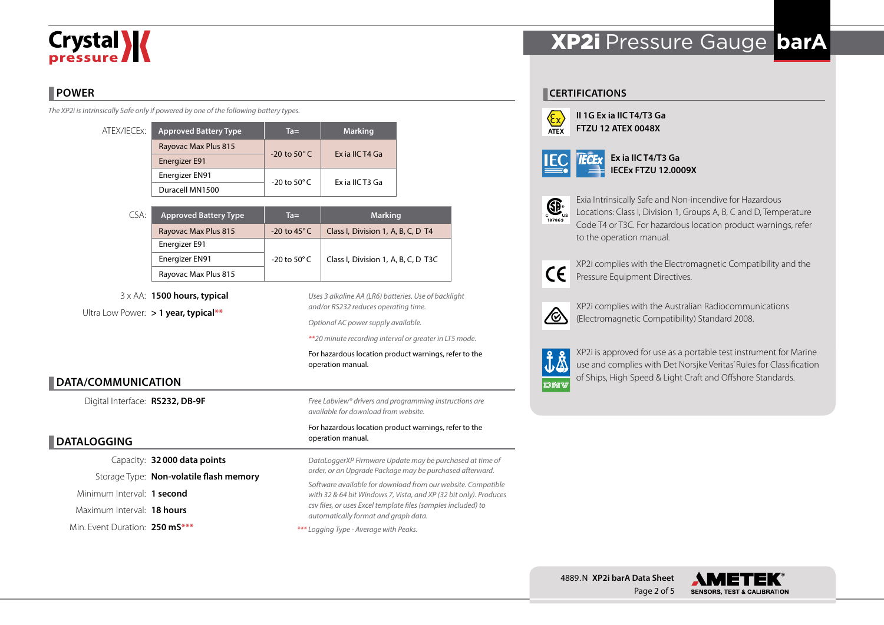# **Crystal**

## **POWER**

*The XP2i is Intrinsically Safe only if powered by one of the following battery types.*

| ATEX/IECEx: | <b>Approved Battery Type</b> | $Ta =$                   | <b>Marking</b>  |  |
|-------------|------------------------------|--------------------------|-----------------|--|
|             | Rayovac Max Plus 815         | $-20$ to $50^{\circ}$ C  | Ex ia IIC T4 Ga |  |
|             | Energizer E91                |                          |                 |  |
|             | Energizer EN91               | $-20$ to 50 $^{\circ}$ C | Ex ia IIC T3 Ga |  |
|             | Duracell MN1500              |                          |                 |  |

| CSA: | <b>Approved Battery Type</b> | $Ta =$                  | <b>Marking</b>                      |  |  |
|------|------------------------------|-------------------------|-------------------------------------|--|--|
|      | Rayovac Max Plus 815         | $-20$ to 45 $\degree$ C | Class I, Division 1, A, B, C, D T4  |  |  |
|      | Energizer E91                |                         |                                     |  |  |
|      | Energizer EN91               | -20 to 50 $^{\circ}$ C  | Class I, Division 1, A, B, C, D T3C |  |  |
|      | Rayovac Max Plus 815         |                         |                                     |  |  |

3 x AA: **1500 hours, typical** Ultra Low Power: **> 1 year, typical\*\***

*Uses 3 alkaline AA (LR6) batteries. Use of backlight and/or RS232 reduces operating time.*

*Optional AC power supply available.*

*\*\*20 minute recording interval or greater in LT5 mode.*

For hazardous location product warnings, refer to the operation manual.

### **DATA/COMMUNICATION**

Digital Interface: **RS232, DB-9F**

### **DATALOGGING**

Capacity: **32000 data points** Storage Type: **Non-volatile flash memory** Minimum Interval: **1 second** Maximum Interval: **18 hours** Min. Event Duration: **250 mS\*\*\***

*Free Labview® drivers and programming instructions are available for download from website.*

#### For hazardous location product warnings, refer to the operation manual.

*DataLoggerXP Firmware Update may be purchased at time of order, or an Upgrade Package may be purchased afterward. Software available for download from our website. Compatible with 32 & 64 bit Windows 7, Vista, and XP (32 bit only). Produces csv files, or uses Excel template files (samples included) to automatically format and graph data.*

#### *\*\*\* Logging Type - Average with Peaks.*

## XP2i Pressure Gauge **barA**

#### **CERTIFICATIONS**



**II 1G Ex ia IIC T4/T3 Ga FTZU 12 ATEX 0048X**

|--|

**Ex ia IIC T4/T3 Ga IECEx FTZU 12.0009X**



Exia Intrinsically Safe and Non-incendive for Hazardous Locations: Class I, Division 1, Groups A, B, C and D, Temperature Code T4 or T3C. For hazardous location product warnings, refer to the operation manual.



XP2i complies with the Electromagnetic Compatibility and the Pressure Equipment Directives.



XP2i complies with the Australian Radiocommunications (Electromagnetic Compatibility) Standard 2008.



XP2i is approved for use as a portable test instrument for Marine use and complies with Det Norsjke Veritas' Rules for Classification of Ships, High Speed & Light Craft and Offshore Standards.

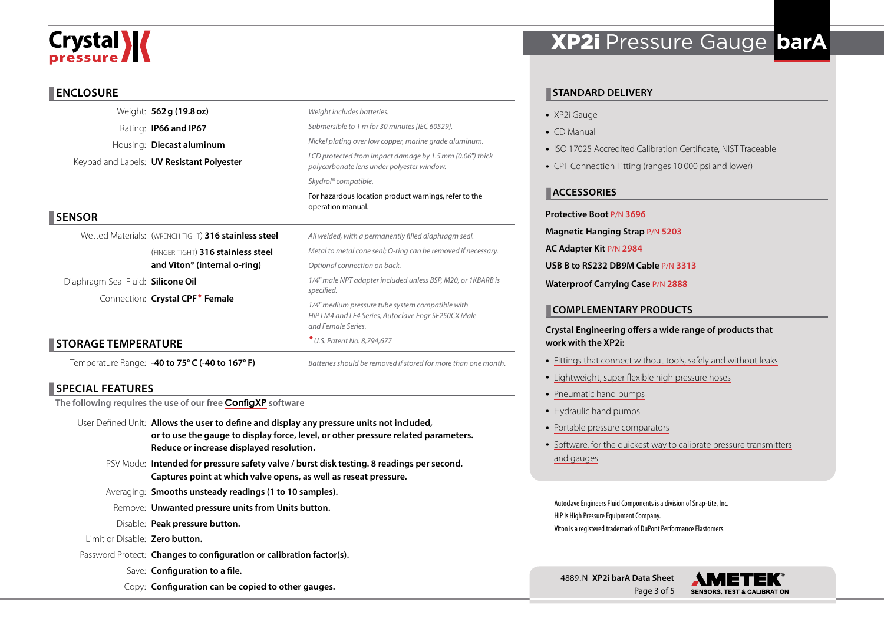# **Crystal \/**

#### **ENCLOSURE**

|                                    | Weight: 562 g (19.8 oz)                              | Weight includes batteries.                                                                                                                                                                                  |  |  |  |  |
|------------------------------------|------------------------------------------------------|-------------------------------------------------------------------------------------------------------------------------------------------------------------------------------------------------------------|--|--|--|--|
|                                    | Rating: <b>IP66 and IP67</b>                         | Submersible to 1 m for 30 minutes [IEC 60529].<br>Nickel plating over low copper, marine grade aluminum.                                                                                                    |  |  |  |  |
|                                    | Housing: Diecast aluminum                            |                                                                                                                                                                                                             |  |  |  |  |
|                                    | Keypad and Labels: <b>UV Resistant Polyester</b>     | LCD protected from impact damage by 1.5 mm (0.06") thick<br>polycarbonate lens under polyester window.                                                                                                      |  |  |  |  |
|                                    |                                                      | Skydrol® compatible.                                                                                                                                                                                        |  |  |  |  |
|                                    |                                                      | For hazardous location product warnings, refer to the<br>operation manual.                                                                                                                                  |  |  |  |  |
| <b>SENSOR</b>                      |                                                      |                                                                                                                                                                                                             |  |  |  |  |
|                                    | Wetted Materials: (WRENCH TIGHT) 316 stainless steel | All welded, with a permanently filled diaphragm seal.                                                                                                                                                       |  |  |  |  |
|                                    | (FINGER TIGHT) 316 stainless steel                   | Metal to metal cone seal; O-ring can be removed if necessary.                                                                                                                                               |  |  |  |  |
|                                    | and Viton <sup>®</sup> (internal o-ring)             | Optional connection on back.                                                                                                                                                                                |  |  |  |  |
| Diaphragm Seal Fluid: Silicone Oil |                                                      | 1/4" male NPT adapter included unless BSP, M20, or 1KBARB is<br>specified.<br>1/4" medium pressure tube system compatible with<br>HiP LM4 and LF4 Series, Autoclave Engr SF250CX Male<br>and Female Series. |  |  |  |  |
|                                    | Connection: Crystal CPF <sup>*</sup> Female          |                                                                                                                                                                                                             |  |  |  |  |
|                                    |                                                      |                                                                                                                                                                                                             |  |  |  |  |
| <b>STORAGE TEMPERATURE</b>         |                                                      | * U.S. Patent No. 8,794,677                                                                                                                                                                                 |  |  |  |  |
|                                    | Temperature Range: -40 to 75° C (-40 to 167° F)      | Batteries should be removed if stored for more than one month.                                                                                                                                              |  |  |  |  |

### **SPECIAL FEATURES**

**The following requires the use of our free [ConfigXP](http://www.ametekcalibration.com/products/software/configuration-software/configxp-configuration-software) software**

- User Defined Unit: **Allows the user to define and display any pressure units not included, or to use the gauge to display force, level, or other pressure related parameters. Reduce or increase displayed resolution.**
	- PSV Mode: **Intended for pressure safety valve / burst disk testing. 8 readings per second. Captures point at which valve opens, as well as reseat pressure.**
	- Averaging: **Smooths unsteady readings (1 to 10 samples).**
	- Remove: **Unwanted pressure units from Units button.**
	- Disable: **Peak pressure button.**
- Limit or Disable: **Zero button.**
- Password Protect: **Changes to configuration or calibration factor(s).**
	- Save: **Configuration to a file.**
	- Copy: **Configuration can be copied to other gauges.**

## XP2i Pressure Gauge **barA**

#### **STANDARD DELIVERY**

- XP2i Gauge
- CD Manual
- ISO 17025 Accredited Calibration Certificate, NIST Traceable
- CPF Connection Fitting (ranges 10 000 psi and lower)

#### **ACCESSORIES**

#### **Protective Boot** P/N **3696**

- **Magnetic Hanging Strap** P/N **5203**
- **AC Adapter Kit** P/N **2984**
- **USB B to RS232 DB9M Cable** P/N **3313**
- **Waterproof Carrying Case** P/N **2888**

#### **COMPLEMENTARY PRODUCTS**

#### **Crystal Engineering offers a wide range of products that work with the XP2i:**

- [Fittings that connect without tools, safely and without leaks](http://www.ametekcalibration.com/products/pump-systems/pressure-fittings/cpf-high-pressure-fittings)
- [Lightweight, super flexible high pressure hoses](http://www.ametekcalibration.com/products/pump-systems/pressure-fittings/cpf-high-pressure-fittings)
- [Pneumatic hand pumps](http://www.ametekcalibration.com/products/pump-systems/pneumatic-hand-pumps/t-900-series-pneumatic-hand-pump)
- [Hydraulic hand pumps](http://www.ametekcalibration.com/products/pump-systems/hydraulic-hand-pumps/t-600-series-hydraulic-hand-pump)
- [Portable pressure comparators](http://www.ametekcalibration.com/products/pump-systems/pressure-comparators)
- [Software, for the quickest way to calibrate pressure transmitters](http://www.ametekcalibration.com/products/software/calibration-software/fastcalxp-calibration-software) [and gauges](http://www.ametekcalibration.com/products/software/calibration-software/fastcalxp-calibration-software)

Autoclave Engineers Fluid Components is a division of Snap-tite, Inc. HiP is High Pressure Equipment Company. Viton is a registered trademark of DuPont Performance Elastomers.



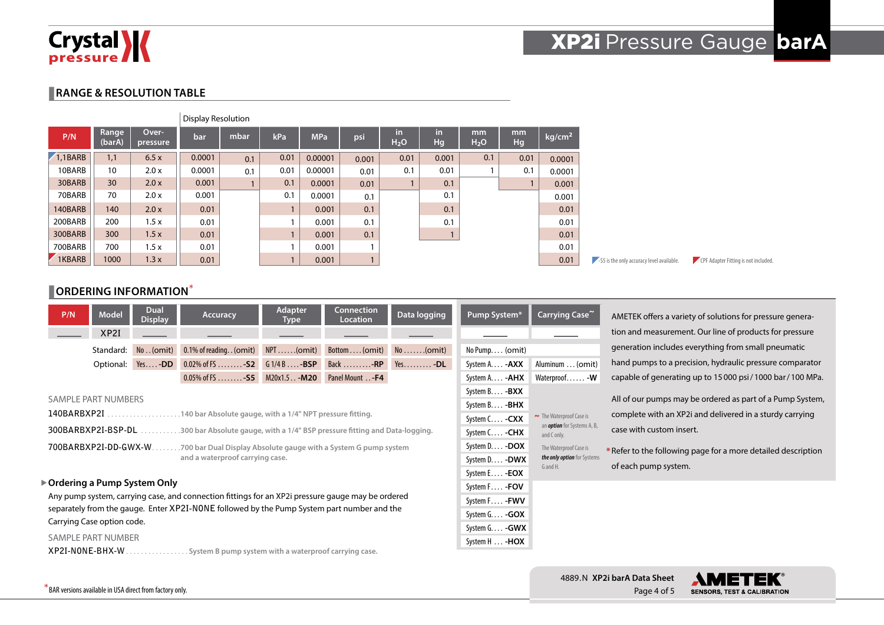

## XP2i Pressure Gauge **barA**

#### **RANGE & RESOLUTION TABLE**

|         |                 |                   | Display Resolution |      |      |            |       |                         |          |                        |          |                    |
|---------|-----------------|-------------------|--------------------|------|------|------------|-------|-------------------------|----------|------------------------|----------|--------------------|
| P/N     | Range<br>(barA) | Over-<br>pressure | bar                | mbar | kPa  | <b>MPa</b> | psi   | in.<br>H <sub>2</sub> O | in<br>Hg | mm<br>H <sub>2</sub> O | mm<br>Hg | kg/cm <sup>2</sup> |
| 1,1BARB | 1,1             | 6.5x              | 0.0001             | 0.1  | 0.01 | 0.00001    | 0.001 | 0.01                    | 0.001    | 0.1                    | 0.01     | 0.0001             |
| 10BARB  | 10              | 2.0 x             | 0.0001             | 0.1  | 0.01 | 0.00001    | 0.01  | 0.1                     | 0.01     |                        | 0.1      | 0.0001             |
| 30BARB  | 30              | 2.0x              | 0.001              |      | 0.1  | 0.0001     | 0.01  |                         | 0.1      |                        |          | 0.001              |
| 70BARB  | 70              | 2.0 x             | 0.001              |      | 0.1  | 0.0001     | 0.1   |                         | 0.1      |                        |          | 0.001              |
| 140BARB | 140             | 2.0x              | 0.01               |      |      | 0.001      | 0.1   |                         | 0.1      |                        |          | 0.01               |
| 200BARB | 200             | 1.5x              | 0.01               |      |      | 0.001      | 0.1   |                         | 0.1      |                        |          | 0.01               |
| 300BARB | 300             | 1.5x              | 0.01               |      |      | 0.001      | 0.1   |                         |          |                        |          | 0.01               |
| 700BARB | 700             | 1.5x              | 0.01               |      |      | 0.001      | 1     |                         |          |                        |          | 0.01               |
| 1KBARB  | 1000            | 1.3x              | 0.01               |      |      | 0.001      |       |                         |          |                        |          | 0.01               |

#### **CORDERING INFORMATION**\*

| P/N                                                                                                                                                                                             | <b>Model</b>               | <b>Dual</b><br><b>Display</b> | <b>Accuracy</b>                                                             | <b>Adapter</b><br><b>Type</b> | <b>Connection</b><br><b>Location</b> | Data logging             | Pump System*          | Carrying Case~                                               |
|-------------------------------------------------------------------------------------------------------------------------------------------------------------------------------------------------|----------------------------|-------------------------------|-----------------------------------------------------------------------------|-------------------------------|--------------------------------------|--------------------------|-----------------------|--------------------------------------------------------------|
|                                                                                                                                                                                                 | XP <sub>2I</sub>           |                               |                                                                             |                               |                                      |                          |                       |                                                              |
|                                                                                                                                                                                                 | Standard:                  | No. (omit)                    | 0.1% of reading. . (omit)                                                   | $NPT$ (omit)                  | Bottom (omit)                        | $No \dots (omit)$        | No Pump (omit)        |                                                              |
|                                                                                                                                                                                                 | Optional:                  | $Yes$ - $DD$                  | $0.02\%$ of FS - S2                                                         | $G1/4B$ $-BSP$                | Back $\dots \dots \dots$ -RP         | $Yes. \ldots \ldots -DL$ | System A. <b>-AXX</b> | Aluminum  (omit)                                             |
|                                                                                                                                                                                                 |                            |                               | $0.05\%$ of FS - S5                                                         | $M20x1.5$ - $M20$             | Panel Mount - F4                     |                          | System A - <b>AHX</b> | Waterproof - W                                               |
|                                                                                                                                                                                                 |                            |                               |                                                                             |                               |                                      |                          | System B - BXX        |                                                              |
|                                                                                                                                                                                                 | <b>SAMPLE PART NUMBERS</b> |                               |                                                                             |                               |                                      |                          | System B - <b>BHX</b> |                                                              |
| 140BARBXP2I<br>.140 bar Absolute gauge, with a 1/4" NPT pressure fitting.<br>.                                                                                                                  |                            |                               |                                                                             |                               |                                      |                          |                       | The Waterproof Case is<br>an <i>option</i> for Systems A, B, |
|                                                                                                                                                                                                 | 300BARBXP2I-BSP-DL         |                               | .300 bar Absolute gauge, with a 1/4" BSP pressure fitting and Data-logging. |                               |                                      |                          | System C - CHX        | and C only.                                                  |
|                                                                                                                                                                                                 | 700BARBXP2I-DD-GWX-W.      |                               | .700 bar Dual Display Absolute gauge with a System G pump system            |                               |                                      |                          | System D - DOX        | The Waterproof Case is                                       |
|                                                                                                                                                                                                 |                            |                               | and a waterproof carrying case.                                             |                               |                                      |                          | System D - DWX        | the only option for Systems<br>G and H.                      |
|                                                                                                                                                                                                 |                            | System E - <b>EOX</b>         |                                                                             |                               |                                      |                          |                       |                                                              |
| ▶ Ordering a Pump System Only                                                                                                                                                                   |                            |                               |                                                                             |                               |                                      |                          |                       |                                                              |
| Any pump system, carrying case, and connection fittings for an XP2i pressure gauge may be ordered<br>separately from the gauge. Enter XP2I-NONE followed by the Pump System part number and the |                            |                               |                                                                             |                               |                                      |                          |                       |                                                              |
|                                                                                                                                                                                                 |                            |                               |                                                                             |                               |                                      |                          | System G - GOX        |                                                              |
| Carrying Case option code.                                                                                                                                                                      |                            |                               |                                                                             |                               |                                      |                          |                       |                                                              |

SAMPLE PART NUMBER

**XP2I-NONE-BHX-W**. **System B pump system with a waterproof carrying case.**

| 4889. N XP2i barA Data Sheet |  |
|------------------------------|--|
| Page 4 of 5                  |  |

case with custom insert.

of each pump system.

System H. . . **-HOX**



AMETEK offers a variety of solutions for pressure generation and measurement. Our line of products for pressure generation includes everything from small pneumatic hand pumps to a precision, hydraulic pressure comparator capable of generating up to 15000 psi/1000 bar/100 MPa. All of our pumps may be ordered as part of a Pump System, complete with an XP2i and delivered in a sturdy carrying

**-S5** is the only accuracy level available. CPF Adapter Fitting is not included.

\* Refer to the following page for a more detailed description